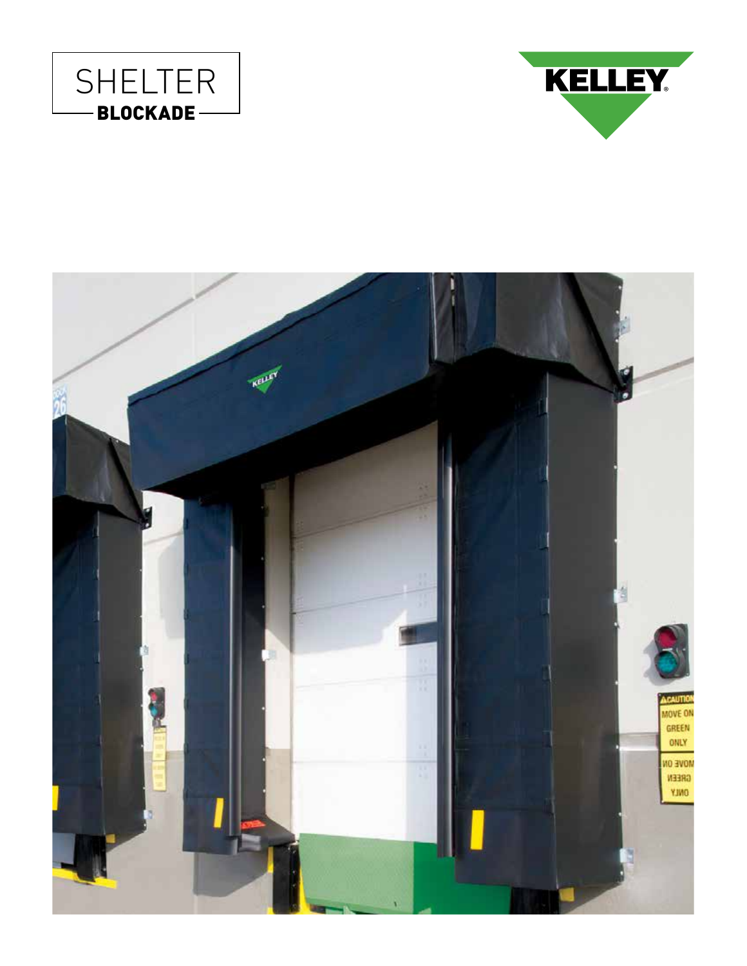